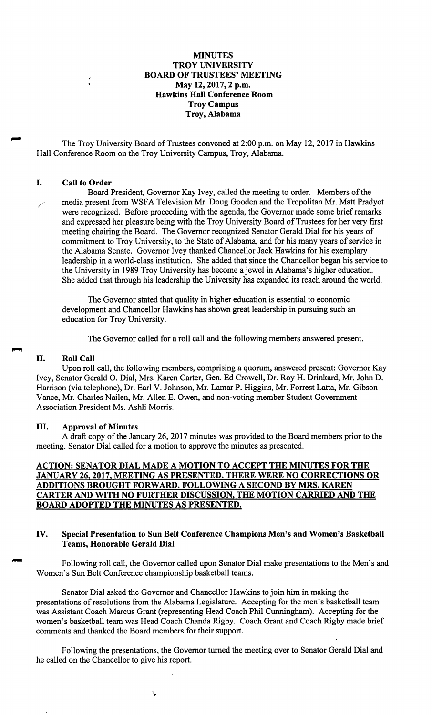#### **MINUTES TROY UNIVERSITY BOARD OF TRUSTEES' MEETING May 12, 2017, 2 p.m. Hawkins Hall Conference Room Troy Campus Troy, Alabama**

The Troy University Board of Trustees convened at 2:00 p.m. on May 12, 2017 in Hawkins Hall Conference Room on the Troy University Campus, Troy, Alabama.

### I. **Call to Order**

Board President, Governor Kay Ivey, called the meeting to order. Members of the media present from WSFA Television Mr. Doug Gooden and the Tropolitan Mr. Matt Pradyot were recognized. Before proceeding with the agenda, the Governor made some brief remarks and expressed her pleasure being with the Troy University Board of Trustees for her very first meeting chairing the Board. The Governor recognized Senator Gerald Dial for his years of commitment to Troy University, to the State of Alabama, and for his many years of service in the Alabama Senate. Governor Ivey thanked Chancellor Jack Hawkins for his exemplary leadership in a world-class institution. She added that since the Chancellor began his service to the University in 1989 Troy University has become a jewel in Alabama's higher education. She added that through his leadership the University has expanded its reach around the world.

The Governor stated that quality in higher education is essential to economic development and Chancellor Hawkins has shown great leadership in pursuing such an education for Troy University.

The Governor called for a roll call and the following members answered present.

#### II. **Roll Call**

Upon roll call, the following members, comprising a quorum, answered present: Governor Kay Ivey, Senator Gerald 0. Dial, Mrs. Karen Carter, Gen. Ed Crowell, Dr. Roy H. Drinkard, Mr. John D. Harrison (via telephone), Dr. Earl V. Johnson, Mr. Lamar P. Higgins, Mr. Forrest Latta, Mr. Gibson Vance, Mr. Charles Nailen, Mr. Allen E. Owen, and non-voting member Student Government Association President Ms. Ashli Morris.

#### III. **Approval of Minutes**

A draft copy of the January 26, 2017 minutes was provided to the Board members prior to the meeting. Senator Dial called for a motion to approve the minutes as presented.

## **ACTION: SENATOR DIAL MADE A MOTION TO ACCEPT THE MINUTES FOR THE JANUARY 26, 2017, MEETING AS PRESENTED. THERE WERE NO CORRECTIONS OR ADDITIONS BROUGHT FORWARD. FOLLOWING A SECOND BY MRS. KAREN CARTER AND WITH NO FURTHER DISCUSSION, THE MOTION CARRIED AND THE BOARD ADOPTED THE MINUTES AS PRESENTED.**

#### **IV. Special Presentation to Sun Belt Conference Champions Men's and Women's Basketball Teams, Honorable Gerald Dial**

Following roll call, the Governor called upon Senator Dial make presentations to the Men's and Women's Sun Belt Conference championship basketball teams.

Senator Dial asked the Governor and Chancellor Hawkins to join him in making the presentations of resolutions from the Alabama Legislature. Accepting for the men's basketball team was Assistant Coach Marcus Grant (representing Head Coach Phil Cunningham). Accepting for the women's basketball team was Head Coach Chanda Rigby. Coach Grant and Coach Rigby made brief comments and thanked the Board members for their support.

Following the presentations, the Governor turned the meeting over to Senator Gerald Dial and he called on the Chancellor to give his report.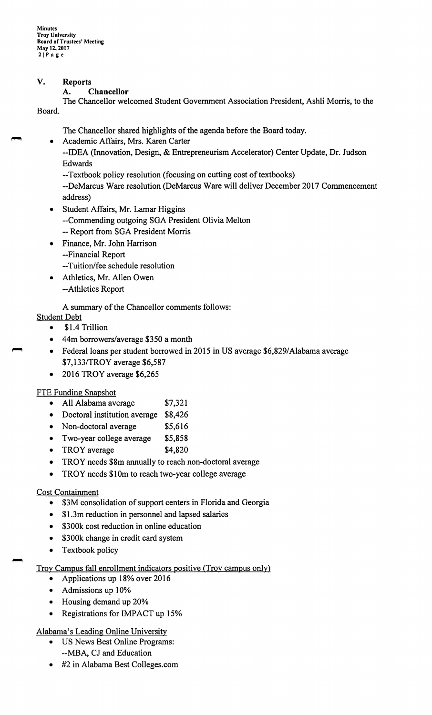## **V. Reports**

### **A. Chancellor**

The Chancellor welcomed Student Government Association President, Ashli Morris, to the Board.

The Chancellor shared highlights of the agenda before the Board today.

- Academic Affairs, Mrs. Karen Carter
	- --IDEA (Innovation, Design, & Entrepreneurism Accelerator) Center Update, Dr. Judson Edwards
		- --Textbook policy resolution (focusing on cutting cost of textbooks)

--DeMarcus Ware resolution (DeMarcus Ware will deliver December 2017 Commencement address)

- Student Affairs, Mr. Lamar Higgins --Commending outgoing SGA President Olivia Melton -- Report from SGA President Morris
- Finance, Mr. John Harrison
	- --Financial Report
	- --Tuition/fee schedule resolution
- Athletics, Mr. Allen Owen --Athletics Report
- A summary of the Chancellor comments follows:

# Student Debt

- \$1 .4 Trillion
- 44m borrowers/average \$350 a month
- Federal loans per student borrowed in 2015 in US average \$6,829/Alabama average \$7,133/TROY average \$6,587
- 2016 TROY average \$6,265

# FTE Funding Snapshot

- All Alabama average \$7,321
- Doctoral institution average \$8,426
- Non-doctoral average \$5,616
- Two-year college average **\$5,858**
- TROY average \$4,820
- TROY needs \$8m annually to reach non-doctoral average
- TROY needs \$10m to reach two-year college average

# Cost Containment

- \$3M consolidation of support centers in Florida and Georgia
- \$1.3m reduction in personnel and lapsed salaries
- \$300k cost reduction in online education
- \$300k change in credit card system
- Textbook policy

# Troy Campus fall enrollment indicators positive (Troy campus only)

- Applications up 18% over 2016
- Admissions up 10%
- Housing demand up 20%
- Registrations for IMPACT up 15%

# Alabama's Leading Online University

- US News Best Online Programs: --MBA, CJ and Education
- #2 in Alabama Best [Colleges.com](https://Colleges.com)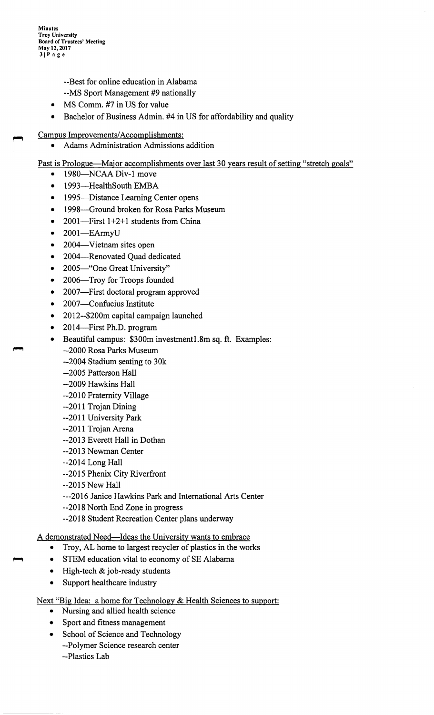**Minutes Troy University Board of Trustees' Meeting May 12, 2017 31Page** 

- --Best for online education in Alabama
- --MS Sport Management #9 nationally
- MS Comm. #7 in US for value
- Bachelor of Business Admin. #4 in US for affordability and quality
- Campus Improvements/ Accomplishments:
	- Adams Administration Admissions addition
- Past is Prologue—Major accomplishments over last 30 years result of setting "stretch goals"
	- 1980—NCAA Div-1 move
	- 1993-HealthSouth EMBA
	- 1995—Distance Learning Center opens
	- 1998-Ground broken for Rosa Parks Museum
	- 2001-First 1+2+1 students from China
	- 2001-EArmyU
	- 2004—Vietnam sites open
	- 2004-Renovated Quad dedicated
	- 2005—"One Great University"
	- 2006-Troy for Troops founded
	- 2007—First doctoral program approved
	- 2007-Confucius Institute
	- 2012--\$200m capital campaign launched
	- 2014-First Ph.D. program
	- Beautiful campus: \$300m [investmentl.8m](https://investmentl.8m) sq. ft. Examples: --2000 Rosa Parks Museum
		- --2004 Stadium seating to 30k
		- --2005 Patterson Hall
		- --2009 Hawkins Hall
		- --2010 Fraternity Village
		- --2011 Trojan Dining
		- --2011 University Park
		- --2011 Trojan Arena
		- --2013 Everett Hall in Dothan
		- --2013 Newman Center
		- --2014 Long Hall
		- --2015 Phenix City Riverfront
		- --2015 New Hall
		- ---2016 Janice Hawkins Park and International Arts Center
		- --2018 North End Zone in progress
		- --2018 Student Recreation Center plans underway

A demonstrated Need-Ideas the University wants to embrace

- Troy, AL home to largest recycler of plastics in the works
- STEM education vital to economy of SE Alabama
- High-tech & job-ready students
- Support healthcare industry
- Next "Big Idea: a home for Technology & Health Sciences to support:
	- Nursing and allied health science
	- Sport and fitness management
	- School of Science and Technology --Polymer Science research center --Plastics Lab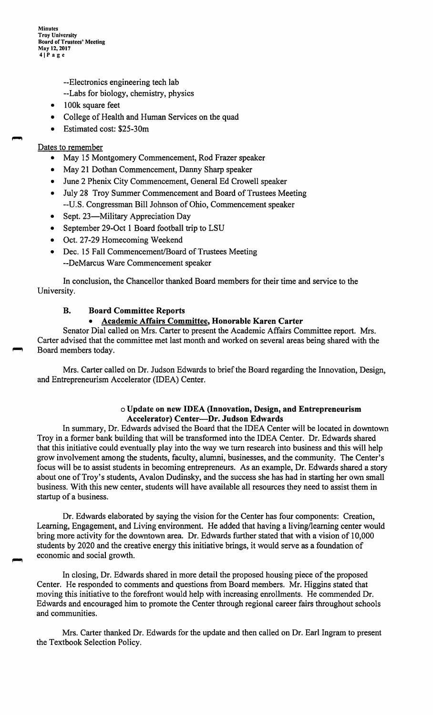**Minutes Troy University Board of Trustees' Meeting May 12, 2017 41Page** 

--Electronics engineering tech lab

- --Labs for biology, chemistry, physics
- 100k square feet
- College of Health and Human Services on the quad
- Estimated cost: \$25-30m

#### Dates to remember

- May 15 Montgomery Commencement, Rod Frazer speaker
- May 21 Dothan Commencement, Danny Sharp speaker
- June 2 Phenix City Commencement, General Ed Crowell speaker
- July 28 Troy Summer Commencement and Board of Trustees Meeting --U.S. Congressman Bill Johnson of Ohio, Commencement speaker
- Sept. 23-Military Appreciation Day
- September 29-Oct 1 Board football trip to LSU
- Oct. 27-29 Homecoming Weekend
- Dec. 15 Fall Commencement/Board of Trustees Meeting --DeMarcus Ware Commencement speaker

In conclusion, the Chancellor thanked Board members for their time and service to the University.

# **B. Board Committee Reports**

### • **Academic Affairs Committee, Honorable Karen Carter**

Senator Dial called on Mrs. Carter to present the Academic Affairs Committee report. Mrs. Carter advised that the committee met last month and worked on several areas being shared with the Board members today.

Mrs. Carter called on Dr. Judson Edwards to brief the Board regarding the Innovation, Design, and Entrepreneurism Accelerator (IDEA) Center.

#### o **Update on new IDEA (Innovation, Design, and Entrepreneurism Accelerator) Center-Dr. Judson Edwards**

In summary, Dr. Edwards advised the Board that the IDEA Center will be located in downtown Troy in a former bank building that will be transformed into the IDEA Center. Dr. Edwards shared that this initiative could eventually play into the way we turn research into business and this will help grow involvement among the students, faculty, alumni, businesses, and the community. The Center's focus will be to assist students in becoming entrepreneurs. As an example, Dr. Edwards shared a story about one of Troy's students, Avalon Dudinsky, and the success she has had in starting her own small business. With this new center, students will have available all resources they need to assist them in startup of a business.

Dr. Edwards elaborated by saying the vision for the Center has four components: Creation, Learning, Engagement, and Living environment. He added that having a living/learning center would bring more activity for the downtown area. Dr. Edwards further stated that with a vision of 10,000 students by 2020 and the creative energy this initiative brings, it would serve as a foundation of economic and social growth.

In closing, Dr. Edwards shared in more detail the proposed housing piece of the proposed Center. He responded to comments and questions from Board members. Mr. Higgins stated that moving this initiative to the forefront would help with increasing enrollments. He commended Dr. Edwards and encouraged him to promote the Center through regional career fairs throughout schools and communities.

Mrs. Carter thanked Dr. Edwards for the update and then called on Dr. Earl Ingram to present the Textbook Selection Policy.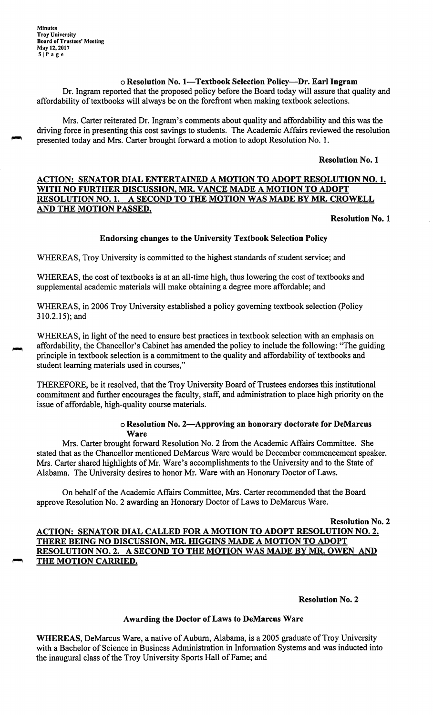# o **Resolution No. 1-Textbook Selection Policy-Dr. Earl Ingram**

Dr. Ingram reported that the proposed policy before the Board today will assure that quality and affordability of textbooks will always be on the forefront when making textbook selections.

Mrs. Carter reiterated Dr. Ingram's comments about quality and affordability and this was the driving force in presenting this cost savings to students. The Academic Affairs reviewed the resolution presented today and Mrs. Carter brought forward a motion to adopt Resolution No. 1.

#### **Resolution No. 1**

# **ACTION: SENATOR DIAL ENTERTAINED A MOTION TO ADOPT RESOLUTION NO. 1. WITH NO FURTHER DISCUSSION, MR. VANCE MADE A MOTION TO ADOPT RESOLUTION NO. 1. A SECOND TO THE MOTION WAS MADE BY MR. CROWELL AND THE MOTION PASSED.**

#### **Resolution No. 1**

### **Endorsing changes to the University Textbook Selection Policy**

WHEREAS, Troy University is committed to the highest standards of student service; and

WHEREAS, the cost of textbooks is at an all-time high, thus lowering the cost of textbooks and supplemental academic materials will make obtaining a degree more affordable; and

WHEREAS, in 2006 Troy University established a policy governing textbook selection (Policy [310.2.15](https://310.2.15)); and

WHEREAS, in light of the need to ensure best practices in textbook selection with an emphasis on affordability, the Chancellor's Cabinet has amended the policy to include the following: "The guiding principle in textbook selection is a commitment to the quality and affordability of textbooks and student learning materials used in courses,"

THEREFORE, be it resolved, that the Troy University Board of Trustees endorses this institutional commitment and further encourages the faculty, staff, and administration to place high priority on the issue of affordable, high-quality course materials.

#### o **Resolution No. 2-Approving an honorary doctorate for DeMarcus Ware**

Mrs. Carter brought forward Resolution No. 2 from the Academic Affairs Committee. She stated that as the Chancellor mentioned DeMarcus Ware would be December commencement speaker. Mrs. Carter shared highlights of Mr. Ware's accomplishments to the University and to the State of Alabama. The University desires to honor Mr. Ware with an Honorary Doctor of Laws.

On behalf of the Academic Affairs Committee, Mrs. Carter recommended that the Board approve Resolution No. 2 awarding an Honorary Doctor of Laws to DeMarcus Ware.

### **Resolution No. 2 ACTION: SENATOR DIAL CALLED FOR A MOTION TO ADOPT RESOLUTION NO. 2. THERE BEING NO DISCUSSION, MR. HIGGINS MADE A MOTION TO ADOPT RESOLUTION NO. 2. A SECOND TO THE MOTION WAS MADE BY MR. OWEN AND**  ~ **THE MOTION CARRIED.**

### **Resolution No. 2**

### **Awarding the Doctor of Laws to DeMarcus Ware**

**WHEREAS,** DeMarcus Ware, a native of Auburn, Alabama, is a 2005 graduate of Troy University with a Bachelor of Science in Business Administration in Information Systems and was inducted into the inaugural class of the Troy University Sports Hall of Fame; and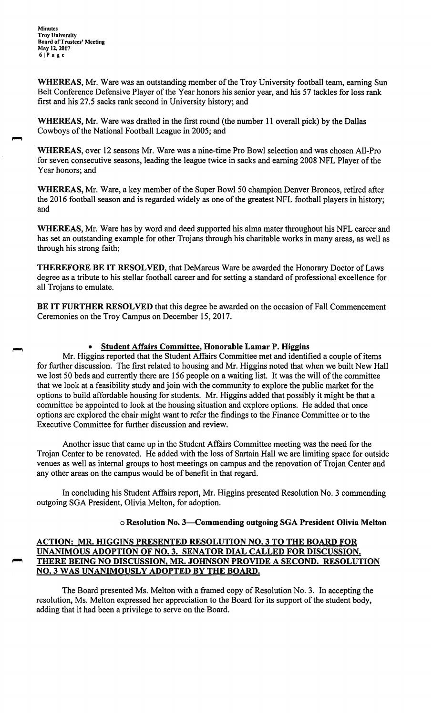**Minutes Troy University Board of Trustees' Meeting May 12, 2017 61Page** 

**WHEREAS,** Mr. Ware was an outstanding member of the Troy University football team, earning Sun Belt Conference Defensive Player of the Year honors his senior year, and his 57 tackles for loss rank first and his 27.5 sacks rank second in University history; and

**WHEREAS,** Mr. Ware was drafted in the first round (the number 11 overall pick) by the Dallas Cowboys of the National Football League in 2005; and

**WHEREAS,** over 12 seasons Mr. Ware was a nine-time Pro Bowl selection and was chosen All-Pro for seven consecutive seasons, leading the league twice in sacks and earning 2008 NFL Player of the Year honors; and

**WHEREAS,** Mr. Ware, a key member of the Super Bowl 50 champion Denver Broncos, retired after the 2016 football season and is regarded widely as one of the greatest NFL football players in history; and

**WHEREAS,** Mr. Ware has by word and deed supported his alma mater throughout his NFL career and has set an outstanding example for other Trojans through his charitable works in many areas, as well as through his strong faith;

**THEREFORE BE IT RESOLVED,** that DeMarcus Ware be awarded the Honorary Doctor of Laws degree as a tribute to his stellar football career and for setting a standard of professional excellence for all Trojans to emulate.

**BE IT FURTHER RESOLVED** that this degree be awarded on the occasion of Fall Commencement Ceremonies on the Troy Campus on December 15, 2017.

#### • **Student Affairs Committee, Honorable Lamar P. Higgins**

Mr. Higgins reported that the Student Affairs Committee met and identified a couple of items for further discussion. The first related to housing and Mr. Higgins noted that when we built New Hall we lost 50 beds and currently there are 156 people on a waiting list. It was the will of the committee that we look at a feasibility study and join with the community to explore the public market for the options to build affordable housing for students. Mr. Higgins added that possibly it might be that a committee be appointed to look at the housing situation and explore options. He added that once options are explored the chair might want to refer the findings to the Finance Committee or to the Executive Committee for further discussion and review.

Another issue that came up in the Student Affairs Committee meeting was the need for the Trojan Center to be renovated. He added with the loss of Sartain Hall we are limiting space for outside venues as well as internal groups to host meetings on campus and the renovation of Trojan Center and any other areas on the campus would be of benefit in that regard.

In concluding his Student Affairs report, Mr. Higgins presented Resolution No. 3 commending outgoing SGA President, Olivia Melton, for adoption.

#### o **Resolution No. 3-Commending outgoing SGA President Olivia Melton**

### **ACTION: MR. HIGGINS PRESENTED RESOLUTION NO. 3 TO THE BOARD FOR UNANIMOUS ADOPTION OF NO. 3. SENATOR DIAL CALLED FOR DISCUSSION.**  ~ **THERE BEING NO DISCUSSION, MR. JOHNSON PROVIDE A SECOND. RESOLUTION NO. 3 WAS UNANIMOUSLY ADOPTED BY THE BOARD.**

The Board presented Ms. Melton with a framed copy of Resolution No. 3. In accepting the resolution, Ms. Melton expressed her appreciation to the Board for its support of the student body, adding that it had been a privilege to serve on the Board.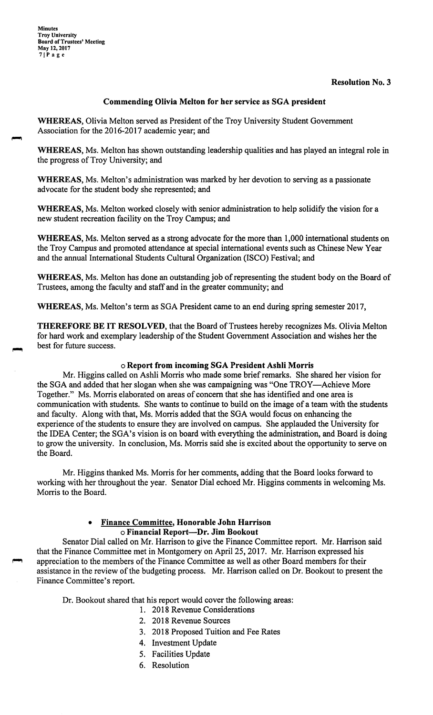**Minutes Troy University Board of Trustees' Meeting May 12, 2017 71Page** 

#### **Resolution No. 3**

#### **Commending Olivia Melton for her service as SGA president**

**WHEREAS,** Olivia Melton served as President of the Troy University Student Government Association for the 2016-2017 academic year; and

**WHEREAS,** Ms. Melton has shown outstanding leadership qualities and has played an integral role in the progress of Troy University; and

**WHEREAS,** Ms. Melton's administration was marked by her devotion to serving as a passionate advocate for the student body she represented; and

**WHEREAS,** Ms. Melton worked closely with senior administration to help solidify the vision for a new student recreation facility on the Troy Campus; and

**WHEREAS,** Ms. Melton served as a strong advocate for the more than 1,000 international students on the Troy Campus and promoted attendance at special international events such as Chinese New Year and the annual International Students Cultural Organization (ISCO) Festival; and

**WHEREAS,** Ms. Melton has done an outstanding job of representing the student body on the Board of Trustees, among the faculty and staff and in the greater community; and

**WHEREAS,** Ms. Melton's term as SGA President came to an end during spring semester 2017,

**THEREFORE BE IT RESOLVED,** that the Board of Trustees hereby recognizes Ms. Olivia Melton for hard work and exemplary leadership of the Student Government Association and wishes her the best for future success.

#### o **Report from incoming SGA President Ashli Morris**

Mr. Higgins called on Ashli Morris who made some brief remarks. She shared her vision for the SGA and added that her slogan when she was campaigning was "One TROY-Achieve More Together." Ms. Morris elaborated on areas of concern that she has identified and one area is communication with students. She wants to continue to build on the image of a team with the students and faculty. Along with that, Ms. Morris added that the SGA would focus on enhancing the experience of the students to ensure they are involved on campus. She applauded the University for the IDEA Center; the SGA's vision is on board with everything the administration, and Board is doing to grow the university. In conclusion, Ms. Morris said she is excited about the opportunity to serve on the Board.

Mr. Higgins thanked Ms. Morris for her comments, adding that the Board looks forward to working with her throughout the year. Senator Dial echoed Mr. Higgins comments in welcoming Ms. Morris to the Board.

#### • **Finance Committee, Honorable John Harrison**  o **Financial Report-Dr. Jim Bookout**

Senator Dial called on Mr. Harrison to give the Finance Committee report. Mr. Harrison said that the Finance Committee met in Montgomery on April 25, 2017. Mr. Harrison expressed his appreciation to the members of the Finance Committee as well as other Board members for their assistance in the review of the budgeting process. Mr. Harrison called on Dr. Bookout to present the Finance Committee's report.

Dr. Bookout shared that his report would cover the following areas:

- 1. 2018 Revenue Considerations
- 2. 2018 Revenue Sources
- 3. 2018 Proposed Tuition and Fee Rates
- 4. Investment Update
- 5. Facilities Update
- 6. Resolution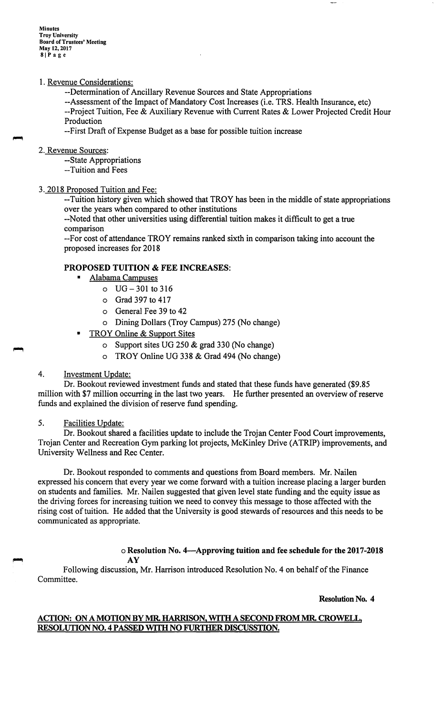**Minutes Troy University Board of Trustees' Meeting May 12,2017 81Page** 

#### 1. Revenue Considerations:

--Determination of Ancillary Revenue Sources and State Appropriations

--Assessment of the Impact of Mandatory Cost Increases (i.e. TRS. Health Insurance, etc) --Project Tuition, Fee & Auxiliary Revenue with Current Rates & Lower Projected Credit Hour Production

--First Draft of Expense Budget as a base for possible tuition increase

#### 2. Revenue Sources:

--State Appropriations

--Tuition and Fees

### 3. 2018 Proposed Tuition and Fee:

--Tuition history given which showed that TROY has been in the middle of state appropriations over the years when compared to other institutions

--Noted that other universities using differential tuition makes it difficult to get a true comparison

--For cost of attendance TROY remains ranked sixth in comparison taking into account the proposed increases for 2018

## **PROPOSED TUITION** & **FEE INCREASES:**

- Alabama Campuses
	- $O$  UG  $-301$  to 316
	- o Grad 397 to 417
	- o General Fee 39 to 42
	- o Dining Dollars (Troy Campus) 275 (No change)
- TROY Online & Support Sites
	- o Support sites UG 250 & grad 330 (No change)
	- o TROY Online UG 338 & Grad 494 (No change)

#### 4. Investment Update:

Dr. Bookout reviewed investment funds and stated that these funds have generated (\$9.85 million with \$7 million occurring in the last two years. He further presented an overview of reserve funds and explained the division of reserve fund spending.

#### 5. Facilities Update:

Dr. Bookout shared a facilities update to include the Trojan Center Food Court improvements, Trojan Center and Recreation Gym parking lot projects, McKinley Drive (ATRIP) improvements, and University Wellness and Rec Center.

Dr. Bookout responded to comments and questions from Board members. Mr. Nailen expressed his concern that every year we come forward with a tuition increase placing a larger burden on students and families. Mr. Nailen suggested that given level state funding and the equity issue as the driving forces for increasing tuition we need to convey this message to those affected with the rising cost of tuition. He added that the University is good stewards of resources and this needs to be communicated as appropriate.

#### o **Resolution No. 4-Approving tuition and fee schedule for the 2017-2018**  o Res<br> **AY**

Following discussion, Mr. Harrison introduced Resolution No. 4 on behalf of the Finance Committee.

**Resolution No. 4** 

### **ACTION: ON A MOTION BY MR. HARRISON, WITH A SECOND FROM MR. CROWELL, RESOLUTION NO. 4 PASSED WITH NO FURTHER DISCUSSTION.**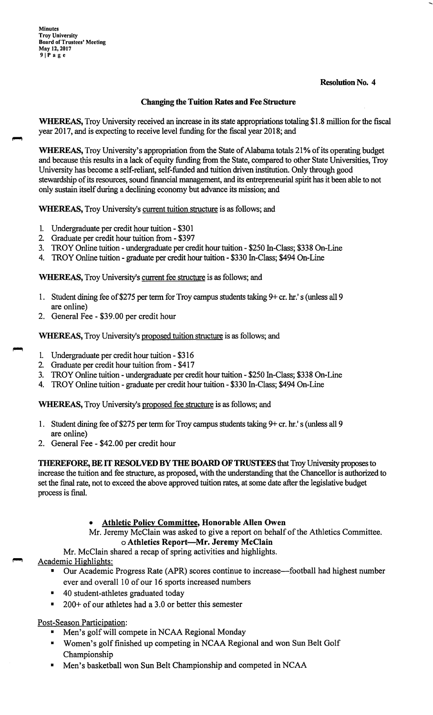### **Resolution No. 4**

# **Changing the Tuition Rates and Fee Structure**

**WHEREAS,**Troy University received an increase in its state appropriations totaling \$1.8 million for the fiscal year 2017, and is expecting to receive level funding for the fiscal year 2018; and

WHEREAS, Troy University's appropriation from the State of Alabama totals 21% of its operating budget and because this results in a lack of equity funding from the State, compared to other State Universities, Troy University has become a self-reliant, self-funded and tuition driven institution. Only through good stewardship of its resources, sound financial management, and its entrepreneurial spirit has it been able to not only sustain itself during a declining economy but advance its mission; and

**WHEREAS,**Troy University's current tuition structure is as follows; and

- 1. Undergraduate per credit hour tuition \$301
- 2. Graduate per credit hour tuition from \$397
- 3. TROY Online tuition undergraduate per credit hour tuition \$250 In-Class; \$338 On-Line
- 4. TROY Online tuition graduate per credit hour tuition \$330 In-Class; \$494 On-Line

**WHEREAS,**Troy University's current fee structure is as follows; and

- 1. Student dining fee of \$275 per term for Troy campus students taking 9+ cr. hr.'s (unless all 9 are online)
- 2. General Fee \$39.00 per credit hour

,...,

**WHEREAS,**Troy University's proposed tuition structure is as follows; and

- 1. Undergraduate per credit hour tuition \$316
- 2. Graduate per credit hour tuition from \$417
- 3. TROY Online tuition undergraduate per credit hour tuition \$250 In-Class; \$338 On-Line
- 4. TROY Online tuition graduate per credit hour tuition \$330 In-Class; \$494 On-Line

**WHEREAS,**Troy University's proposed fee structure is as follows; and

- 1. Student dining fee of \$275 per term for Troy campus students taking 9+ cr. hr.'s (unless all 9 are online)
- 2. General Fee \$42.00 per credit hour

**THEREFORE,BE**IT **RESOLVED BY THE BOARD OF TRUSTEES** that Troy University proposes to increase the tuition and fee structure, as proposed, with the understanding that the Chancellor is authorized to set the final rate, not to exceed the above approved tuition rates, at some date after the legislative budget process is final.

# • **Athletic Policy Committee, Honorable Allen Owen**

Mr. Jeremy McClain was asked to give a report on behalf of the Athletics Committee. o **Athletics Report-Mr. Jeremy McClain** 

Mr. McClain shared a recap of spring activities and highlights.

Academic Highlights:

- Our Academic Progress Rate (APR) scores continue to increase—football had highest number ever and overall 10 of our 16 sports increased numbers
- 40 student-athletes graduated today
- $200+$  of our athletes had a 3.0 or better this semester

Post-Season Participation:

- Men's golf will compete in NCAA Regional Monday
- Women's golf finished up competing in NCAA Regional and won Sun Belt Golf Championship
- Men's basketball won Sun Belt Championship and competed in NCAA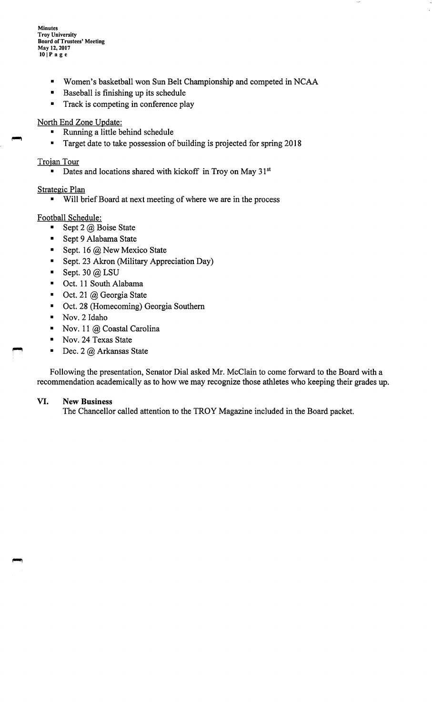**Minutes Troy University Board of Trustees' Meeting May 12, 2017 10 IP age** 

- Women's basketball won Sun Belt Championship and competed in NCAA
- Baseball is finishing up its schedule
- Track is competing in conference play

# North End Zone Update:

- Running a little behind schedule
- Target date to take possession of building is projected for spring 2018

# Trojan Tour

■ Dates and locations shared with kickoff in Troy on May 31<sup>st</sup>

# Strategic Plan

■ Will brief Board at next meeting of where we are in the process

# Football Schedule:

- Sept 2 @ Boise State
- Sept 9 Alabama State
- Sept. 16  $@$  New Mexico State
- Sept. 23 Akron (Military Appreciation Day)
- **•** Sept. 30 @ LSU
- Oct. 11 South Alabama
- $\blacksquare$  Oct. 21 @ Georgia State
- Oct. 28 (Homecoming) Georgia Southern
- Nov. 2 Idaho
- Nov. 11 @ Coastal Carolina
- Nov. 24 Texas State
- $\blacksquare$  Dec. 2 @ Arkansas State

Following the presentation, Senator Dial asked Mr. McClain to come forward to the Board with a recommendation academically as to how we may recognize those athletes who keeping their grades up.

### **VI. New Business**

The Chancellor called attention to the TROY Magazine included in the Board packet.